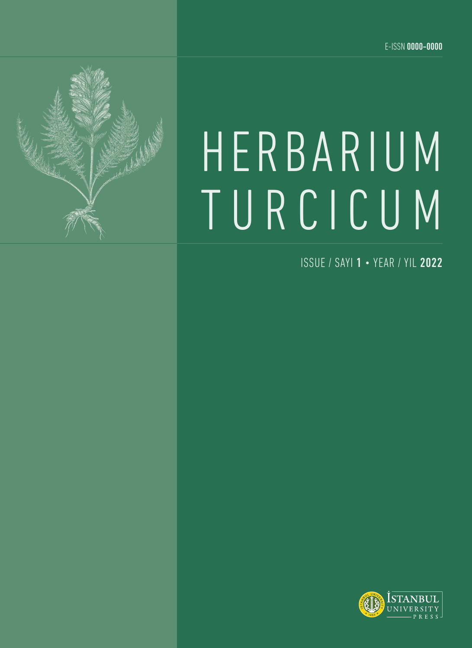

# HERBARIUM TURCICUM

ISSUE / SAYI 1 • YEAR / YIL 2022

<span id="page-0-0"></span>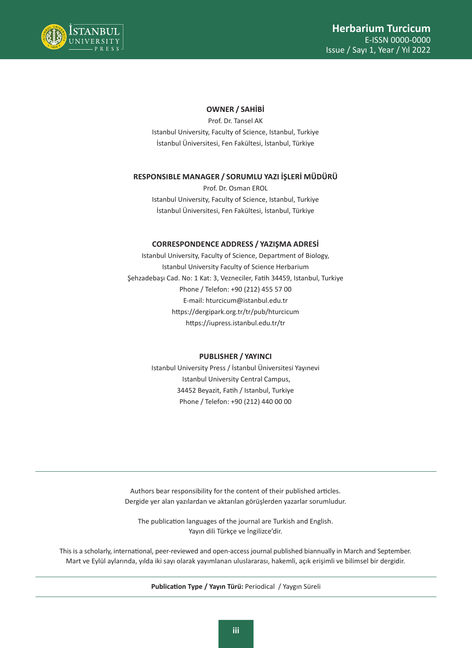

### **OWNER / SAHİBİ**

Prof. Dr. Tansel AK Istanbul University, Faculty of Science, Istanbul, Turkiye İstanbul Üniversitesi, Fen Fakültesi, İstanbul, Türkiye

### **RESPONSIBLE MANAGER / SORUMLU YAZI İŞLERİ MÜDÜRÜ**

Prof. Dr. Osman EROL Istanbul University, Faculty of Science, Istanbul, Turkiye İstanbul Üniversitesi, Fen Fakültesi, İstanbul, Türkiye

### **CORRESPONDENCE ADDRESS / YAZIŞMA ADRESİ**

Istanbul University, Faculty of Science, Department of Biology, Istanbul University Faculty of Science Herbarium Şehzadebaşı Cad. No: 1 Kat: 3, Vezneciler, Fatih 34459, Istanbul, Turkiye Phone / Telefon: +90 (212) 455 57 00 E-mail: hturcicum@istanbul.edu.tr https://dergipark.org.tr/tr/pub/hturcicum https://iupress.istanbul.edu.tr/tr

### **PUBLISHER / YAYINCI**

Istanbul University Press / İstanbul Üniversitesi Yayınevi Istanbul University Central Campus, 34452 Beyazit, Fatih / Istanbul, Turkiye Phone / Telefon: +90 (212) 440 00 00

Authors bear responsibility for the content of their published articles. Dergide yer alan yazılardan ve aktarılan görüşlerden yazarlar sorumludur.

The publication languages of the journal are Turkish and English. Yayın dili Türkçe ve İngilizce'dir.

This is a scholarly, international, peer-reviewed and open-access journal published biannually in March and September. Mart ve Eylül aylarında, yılda iki sayı olarak yayımlanan uluslararası, hakemli, açık erişimli ve bilimsel bir dergidir.

**Publication Type / Yayın Türü:** Periodical / Yaygın Süreli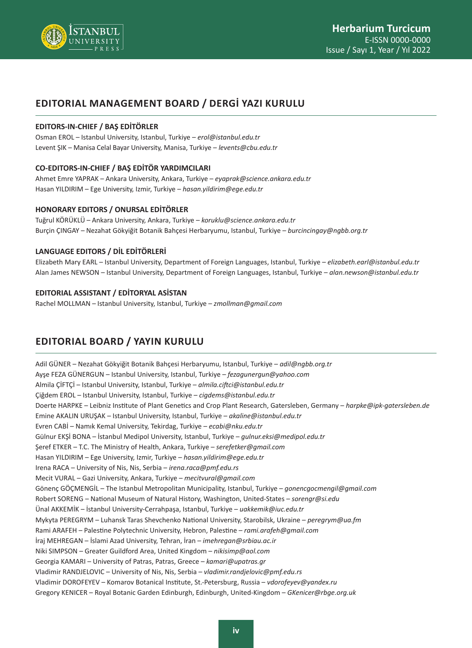

## **EDITORIAL MANAGEMENT BOARD / DERGİ YAZI KURULU**

### **EDITORS-IN-CHIEF / BAŞ EDİTÖRLER**

Osman EROL – Istanbul University, Istanbul, Turkiye – *erol@istanbul.edu.tr* Levent ŞIK – Manisa Celal Bayar University, Manisa, Turkiye – *levents@cbu.edu.tr*

### **CO-EDITORS-IN-CHIEF / BAŞ EDİTÖR YARDIMCILARI**

Ahmet Emre YAPRAK – Ankara University, Ankara, Turkiye – *eyaprak@science.ankara.edu.tr* Hasan YILDIRIM – Ege University, Izmir, Turkiye – *hasan.yildirim@ege.edu.tr*

### **HONORARY EDITORS / ONURSAL EDİTÖRLER**

Tuğrul KÖRÜKLÜ – Ankara University, Ankara, Turkiye – *koruklu@science.ankara.edu.tr* Burçin ÇINGAY – Nezahat Gökyiğit Botanik Bahçesi Herbaryumu, Istanbul, Turkiye – *burcincingay@ngbb.org.tr*

### **LANGUAGE EDITORS / DİL EDİTÖRLERİ**

Elizabeth Mary EARL – Istanbul University, Department of Foreign Languages, Istanbul, Turkiye – *elizabeth.earl@istanbul.edu.tr* Alan James NEWSON – Istanbul University, Department of Foreign Languages, Istanbul, Turkiye – *alan.newson@istanbul.edu.tr*

### **EDITORIAL ASSISTANT / EDİTORYAL ASİSTAN**

Rachel MOLLMAN – Istanbul University, Istanbul, Turkiye – *zmollman@gmail.com*

# **EDITORIAL BOARD / YAYIN KURULU**

Adil GÜNER – Nezahat Gökyiğit Botanik Bahçesi Herbaryumu, Istanbul, Turkiye – *adil@ngbb.org.tr* Ayşe FEZA GÜNERGUN – Istanbul University, Istanbul, Turkiye – *fezagunergun@yahoo.com* Almila ÇİFTÇİ – Istanbul University, Istanbul, Turkiye – *almila.ciftci@istanbul.edu.tr* Çiğdem EROL – Istanbul University, Istanbul, Turkiye – *cigdems@istanbul.edu.tr* Doerte HARPKE – Leibniz Institute of Plant Genetics and Crop Plant Research, Gatersleben, Germany – *harpke@ipk-gatersleben.de* Emine AKALIN URUŞAK – Istanbul University, Istanbul, Turkiye – *akaline@istanbul.edu.tr* Evren CABİ – Namık Kemal University, Tekirdag, Turkiye – *ecabi@nku.edu.tr* Gülnur EKŞİ BONA – İstanbul Medipol University, Istanbul, Turkiye – *gulnur.eksi@medipol.edu.tr* Şeref ETKER – T.C. The Ministry of Health, Ankara, Turkiye – *serefetker@gmail.com* Hasan YILDIRIM – Ege University, Izmir, Turkiye – *hasan.yildirim@ege.edu.tr* Irena RACA – University of Nis, Nis, Serbia – *irena.raca@pmf.edu.rs* Mecit VURAL – Gazi University, Ankara, Turkiye – *mecitvural@gmail.com* Gönenç GÖÇMENGİL – The Istanbul Metropolitan Municipality, Istanbul, Turkiye – *gonencgocmengil@gmail.com* Robert SORENG – National Museum of Natural History, Washington, United-States – *sorengr@si.edu* Ünal AKKEMİK – İstanbul University-Cerrahpaşa, Istanbul, Turkiye – *uakkemik@iuc.edu.tr* Mykyta PEREGRYM – Luhansk Taras Shevchenko National University, Starobilsk, Ukraine – *peregrym@ua.fm* Rami ARAFEH – Palestine Polytechnic University, Hebron, Palestine – *rami.arafeh@gmail.com* İraj MEHREGAN – İslami Azad University, Tehran, İran – *imehregan@srbiau.ac.ir* Niki SIMPSON – Greater Guildford Area, United Kingdom – *nikisimp@aol.com* Georgia KAMARI – University of Patras, Patras, Greece – *kamari@upatras.gr* Vladimir RANDJELOVIC – University of Nis, Nis, Serbia – *vladimir.randjelovic@pmf.edu.rs* Vladimir DOROFEYEV – Komarov Botanical Institute, St.-Petersburg, Russia – *vdorofeyev@yandex.ru* Gregory KENICER – Royal Botanic Garden Edinburgh, Edinburgh, United-Kingdom – *GKenicer@rbge.org.uk*